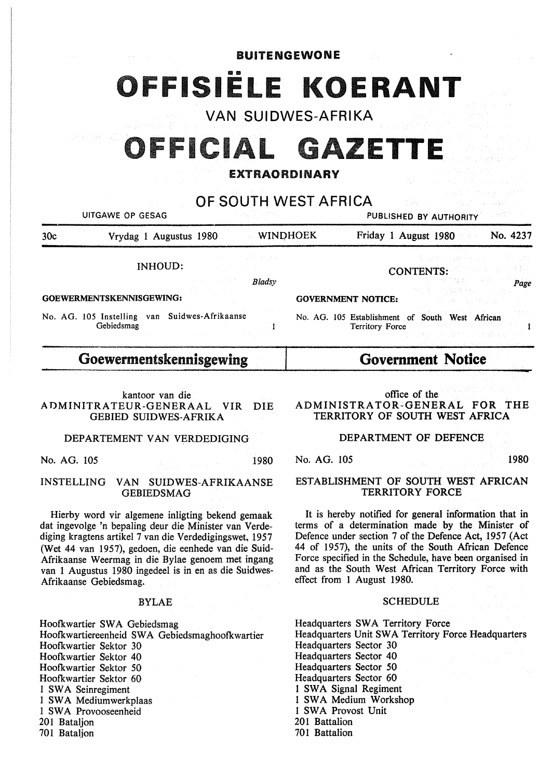## BUITENGEWONE FISIËLE KOERANT

VAN SUIDWES-AFRIKA

# OFFICIAL GAZETTE

#### EXTRAORDINARY

### OF SOUTH WEST AFRICA

|                                                      | UITGAWE OP GESAG                                            | and we have the state                      | 10. 化微量 10. 10<br>PUBLISHED BY AUTHORITY                                                                                                                                                                           |
|------------------------------------------------------|-------------------------------------------------------------|--------------------------------------------|--------------------------------------------------------------------------------------------------------------------------------------------------------------------------------------------------------------------|
| 30c                                                  | Vrydag 1 Augustus 1980                                      | <b>WINDHOEK</b>                            | Friday 1 August 1980<br>No. 4237                                                                                                                                                                                   |
|                                                      | INHOUD:                                                     | 医单位 医血管 计标准 经预算权<br>医心室 化二氯化乙基乙二<br>Bladsy | 「私人中の同期的のこと」 ぎんぱい<br><b>CONTENTS: CONTENTS:</b><br><b>Example 2008</b> Page                                                                                                                                        |
| control of a contrage of<br>GOEWERMENTSKENNISGEWING: |                                                             |                                            | ing kongstitus, ne own Th<br><b>GOVERNMENT NOTICE:</b><br>contracts and the property                                                                                                                               |
|                                                      | No. AG. 105 Instelling van Suidwes-Afrikaanse<br>Gebiedsmag | and the control of the control of          | 计有序加分子<br>No. AG. 105 Establishment of South West African<br>Territory Force and a state of the state of the 1<br>こだい ひゃくしょう あきかい ひょうぼうれい アントラ<br>added to the company of the second company of the company of the |

### Goewermentskennisgewing

#### kantoor van die A DMINITRA TEUR-GENERAAL VIR DIE GEBIED SUIDWES-AFRIKA

#### DEPARTEMENT VAN VERDEDIGING

No. AG. 105 1980

#### INSTELLING VAN SUIDWES-AFRIKAANSE **GEBIEDSMAG**

Hierby word vir algemene inligting bekend gemaak dat ingevolge 'n bepaling deur die Minister van Verdediging kragtens artikel 7 van die Verdedigingswet, 1957 (Wet 44 van 1957), gedoen, die eenhede van die Suid-Afrikaanse Weermag in die Bylae genoem met ingang van 1 Augustus 1980 ingedeel is in en as die Suidwes-Afrikaanse Gebiedsmag.

#### BYLAE

Hoofkwartier SWA Gebiedsmag Hoofkwartiereenheid SWA Gebiedsmaghoofkwartier Hoofkwartier Sektor 30 Hoofkwartier Sektor 40 Hoofkwartier Sektor 50 Hoofkwartier Sektor 60 1 SWA Seinregiment 1 SWA Mediumwerkplaas 1 SWA Provooseenheid 201 Bataljon 701 Bataljon

Government **Notice** 

office of the

ADMINISTRATOR-GENERAL FOR THE TERRITORY OF SOUTH WEST AFRICA

#### DEPARTMENT OF DEFENCE

No. AG. 105 1980

#### ESTABLISHMENT OF SOUTH WEST AFRICAN TERRITORY FORCE

It is hereby notified for general information that in terms of a determination made by the Minister of Defence under section 7 of the Defence Act, 1957 (Act 44 of 1957), the units of the South African Defence Force specified in the Schedule, have been organised in and as the South West African Territory Force with effect from 1 August 1980.

#### **SCHEDULE**

Headquarters SWA Territory Force Headquarters Unit **SW A** Territory Force Headquarters Headquarters Sector 30 Headquarters Sector 40 Headquarters Sector 50 Headquarters Sector 60 1 **SW A** Signal Regiment 1 SWA Medium Workshop 1 SWA Provost Unit 201 Battalion 701 Battalion